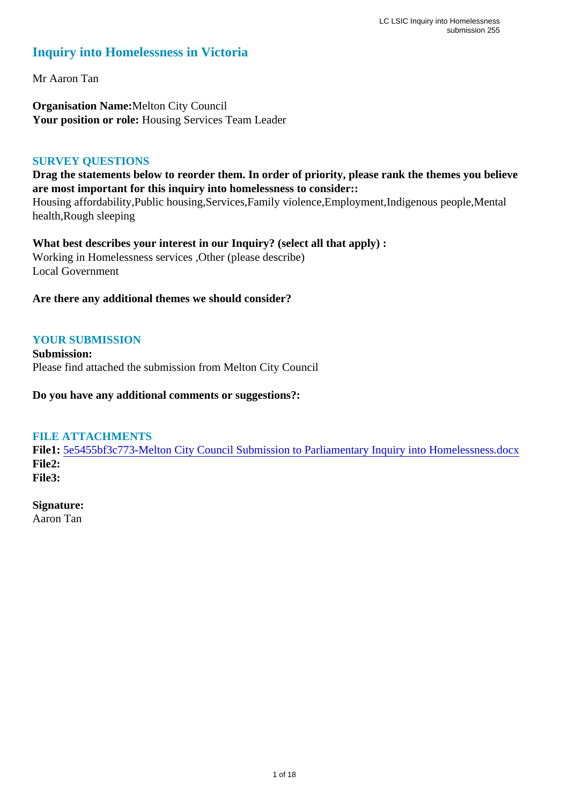## **Inquiry into Homelessness in Victoria**

Mr Aaron Tan

**Organisation Name:**Melton City Council Your position or role: Housing Services Team Leader

#### **SURVEY QUESTIONS**

**Drag the statements below to reorder them. In order of priority, please rank the themes you believe are most important for this inquiry into homelessness to consider::** 

Housing affordability,Public housing,Services,Family violence,Employment,Indigenous people,Mental health,Rough sleeping

**What best describes your interest in our Inquiry? (select all that apply) :**  Working in Homelessness services ,Other (please describe) Local Government

#### **Are there any additional themes we should consider?**

#### **YOUR SUBMISSION**

**Submission:**  Please find attached the submission from Melton City Council

**Do you have any additional comments or suggestions?:** 

#### **FILE ATTACHMENTS**

**File1:** [5e5455bf3c773-Melton City Council Submission to Parliamentary Inquiry into Homelessness.docx](https://www.parliament.vic.gov.au/component/rsform/submission-view-file/641d2117b5b7f02bb80924bfaada0712/ce876479547770d92d2df5e9ad2164a9?Itemid=527) **File2: File3:** 

#### **Signature:**

Aaron Tan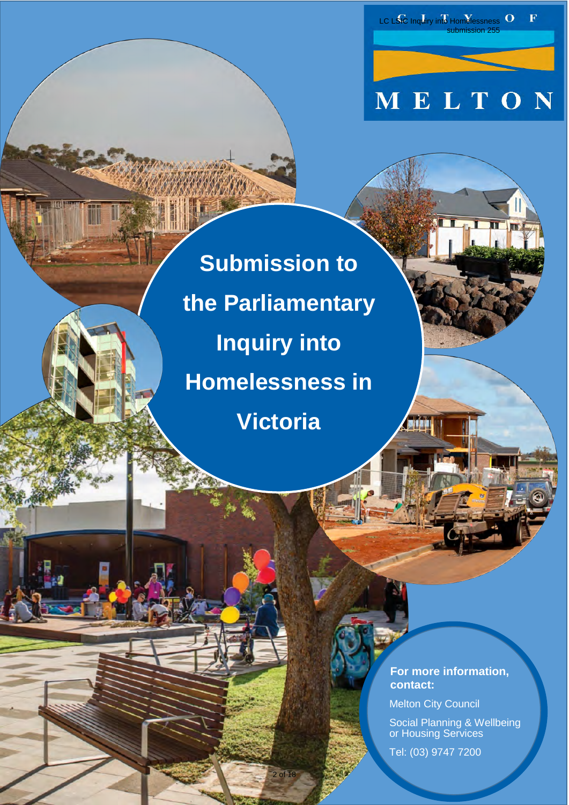MELTON

submission 255

 $\overline{\mathbf{F}}$ 

LC LSIC Inquiry into Homelessness O

**Submission to the Parliamentary Inquiry into Homelessness in Victoria**

 $2$  of 18

 **For more information, contact:**

Melton City Council

 Social Planning & Wellbeing or Housing Services

Tel: (03) 9747 7200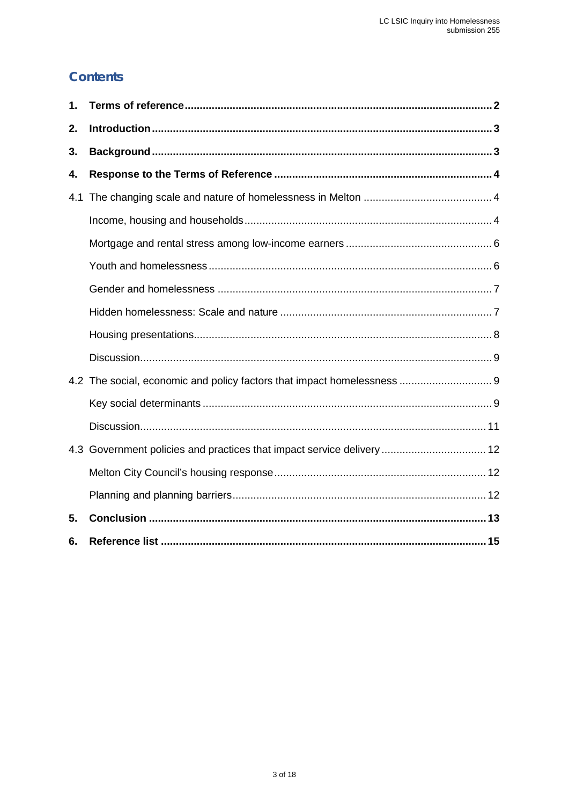## **Contents**

| 1. |                                                                         |  |
|----|-------------------------------------------------------------------------|--|
| 2. |                                                                         |  |
| 3. |                                                                         |  |
| 4. |                                                                         |  |
|    |                                                                         |  |
|    |                                                                         |  |
|    |                                                                         |  |
|    |                                                                         |  |
|    |                                                                         |  |
|    |                                                                         |  |
|    |                                                                         |  |
|    |                                                                         |  |
|    | 4.2 The social, economic and policy factors that impact homelessness  9 |  |
|    |                                                                         |  |
|    |                                                                         |  |
|    | 4.3 Government policies and practices that impact service delivery  12  |  |
|    |                                                                         |  |
|    |                                                                         |  |
| 5. |                                                                         |  |
| 6. |                                                                         |  |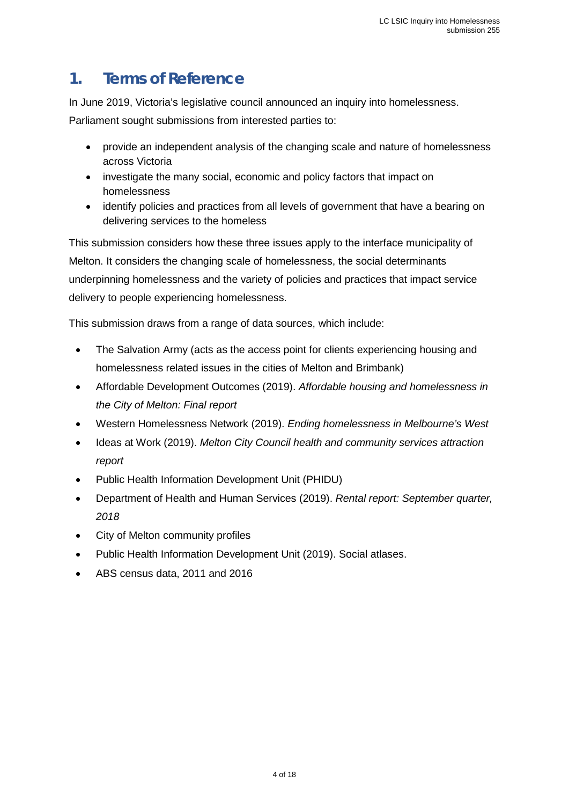# <span id="page-3-0"></span>**1. Terms of Reference**

In June 2019, Victoria's legislative council announced an inquiry into homelessness.

Parliament sought submissions from interested parties to:

- provide an independent analysis of the changing scale and nature of homelessness across Victoria
- investigate the many social, economic and policy factors that impact on homelessness
- identify policies and practices from all levels of government that have a bearing on delivering services to the homeless

This submission considers how these three issues apply to the interface municipality of Melton. It considers the changing scale of homelessness, the social determinants underpinning homelessness and the variety of policies and practices that impact service delivery to people experiencing homelessness.

This submission draws from a range of data sources, which include:

- The Salvation Army (acts as the access point for clients experiencing housing and homelessness related issues in the cities of Melton and Brimbank)
- Affordable Development Outcomes (2019). *Affordable housing and homelessness in the City of Melton: Final report*
- Western Homelessness Network (2019). *Ending homelessness in Melbourne's West*
- Ideas at Work (2019). *Melton City Council health and community services attraction report*
- Public Health Information Development Unit (PHIDU)
- Department of Health and Human Services (2019). *Rental report: September quarter, 2018*
- City of Melton community profiles
- Public Health Information Development Unit (2019). Social atlases.
- ABS census data, 2011 and 2016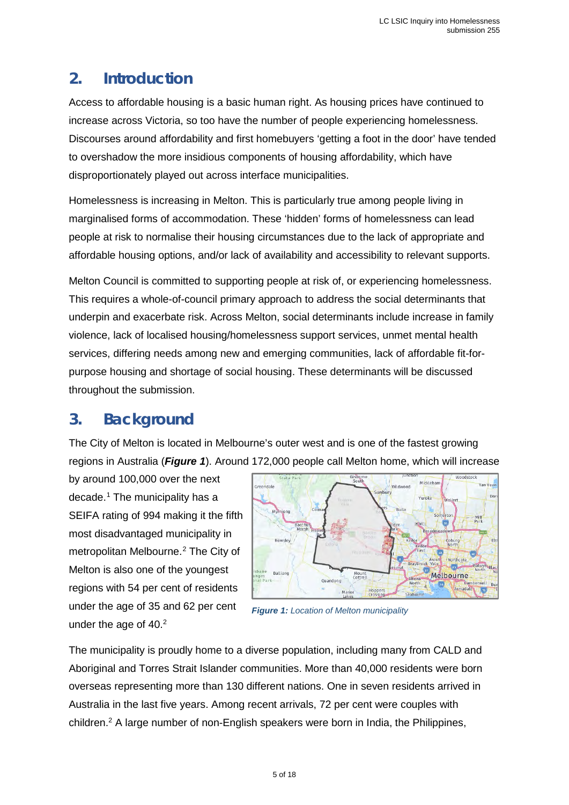## <span id="page-4-0"></span>**2. Introduction**

Access to affordable housing is a basic human right. As housing prices have continued to increase across Victoria, so too have the number of people experiencing homelessness. Discourses around affordability and first homebuyers 'getting a foot in the door' have tended to overshadow the more insidious components of housing affordability, which have disproportionately played out across interface municipalities.

Homelessness is increasing in Melton. This is particularly true among people living in marginalised forms of accommodation. These 'hidden' forms of homelessness can lead people at risk to normalise their housing circumstances due to the lack of appropriate and affordable housing options, and/or lack of availability and accessibility to relevant supports.

Melton Council is committed to supporting people at risk of, or experiencing homelessness. This requires a whole-of-council primary approach to address the social determinants that underpin and exacerbate risk. Across Melton, social determinants include increase in family violence, lack of localised housing/homelessness support services, unmet mental health services, differing needs among new and emerging communities, lack of affordable fit-forpurpose housing and shortage of social housing. These determinants will be discussed throughout the submission.

# <span id="page-4-1"></span>**3. Background**

The City of Melton is located in Melbourne's outer west and is one of the fastest growing regions in Australia (*Figure 1*). Around 172,000 people call Melton home, which will increase

by around 100,000 over the next decade. [1](#page-17-0) The municipality has a SEIFA rating of 994 making it the fifth most disadvantaged municipality in metropolitan Melbourne.[2](#page-17-1) The City of Melton is also one of the youngest regions with 54 per cent of residents under the age of 35 and 62 per cent under the age of  $40.<sup>2</sup>$ 



<span id="page-4-2"></span>*Figure 1: Location of Melton municipality*

The municipality is proudly home to a diverse population, including many from CALD and Aboriginal and Torres Strait Islander communities. More than 40,000 residents were born overseas representing more than 130 different nations. One in seven residents arrived in Australia in the last five years. Among recent arrivals, 72 per cent were couples with children[.2](#page-4-2) A large number of non-English speakers were born in India, the Philippines,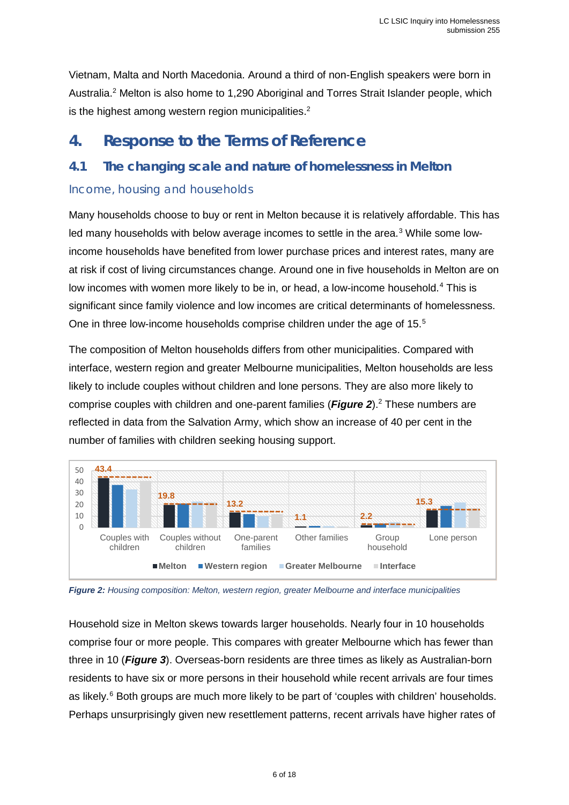Vietnam, Malta and North Macedonia. Around a third of non-English speakers were born in Australia[.2](#page-4-2) Melton is also home to 1,290 Aboriginal and Torres Strait Islander people, which is the highest among western region municipalities.<sup>2</sup>

# <span id="page-5-0"></span>**4. Response to the Terms of Reference**

## <span id="page-5-1"></span>**4.1 The changing scale and nature of homelessness in Melton**

#### <span id="page-5-2"></span>Income, housing and households

<span id="page-5-3"></span>Many households choose to buy or rent in Melton because it is relatively affordable. This has led many households with below average incomes to settle in the area. $3$  While some lowincome households have benefited from lower purchase prices and interest rates, many are at risk if cost of living circumstances change. Around one in five households in Melton are on low incomes with women more likely to be in, or head, a low-income household.<sup>[4](#page-17-3)</sup> This is significant since family violence and low incomes are critical determinants of homelessness. One in three low-income households comprise children under the age of 1[5](#page-17-4).<sup>5</sup>

The composition of Melton households differs from other municipalities. Compared with interface, western region and greater Melbourne municipalities, Melton households are less likely to include couples without children and lone persons. They are also more likely to comprise couples with children and one-parent families (*Figure 2*).<sup>2</sup> These numbers are reflected in data from the Salvation Army, which show an increase of 40 per cent in the number of families with children seeking housing support.



*Figure 2: Housing composition: Melton, western region, greater Melbourne and interface municipalities*

Household size in Melton skews towards larger households. Nearly four in 10 households comprise four or more people. This compares with greater Melbourne which has fewer than three in 10 (*Figure 3*). Overseas-born residents are three times as likely as Australian-born residents to have six or more persons in their household while recent arrivals are four times as likely.<sup>[6](#page-17-5)</sup> Both groups are much more likely to be part of 'couples with children' households. Perhaps unsurprisingly given new resettlement patterns, recent arrivals have higher rates of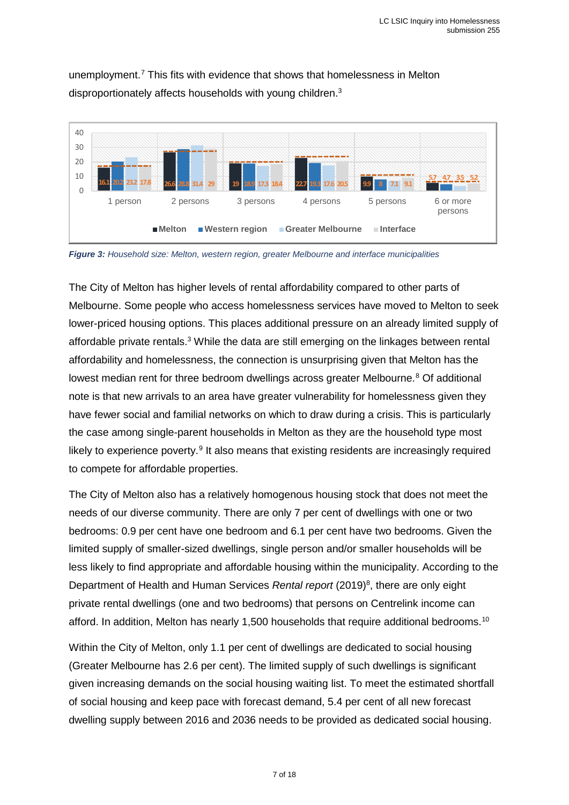unemployment.[7](#page-17-6) This fits with evidence that shows that homelessness in Melton disproportionately affects households with young children[.3](#page-5-3)



*Figure 3: Household size: Melton, western region, greater Melbourne and interface municipalities*

<span id="page-6-0"></span>The City of Melton has higher levels of rental affordability compared to other parts of Melbourne. Some people who access homelessness services have moved to Melton to seek lower-priced housing options. This places additional pressure on an already limited supply of affordable private rentals.<sup>[3](#page-5-3)</sup> While the data are still emerging on the linkages between rental affordability and homelessness, the connection is unsurprising given that Melton has the lowest median rent for three bedroom dwellings across greater Melbourne.<sup>[8](#page-17-7)</sup> Of additional note is that new arrivals to an area have greater vulnerability for homelessness given they have fewer social and familial networks on which to draw during a crisis. This is particularly the case among single-parent households in Melton as they are the household type most likely to experience poverty. $9$  It also means that existing residents are increasingly required to compete for affordable properties.

The City of Melton also has a relatively homogenous housing stock that does not meet the needs of our diverse community. There are only 7 per cent of dwellings with one or two bedrooms: 0.9 per cent have one bedroom and 6.1 per cent have two bedrooms. Given the limited supply of smaller-sized dwellings, single person and/or smaller households will be less likely to find appropriate and affordable housing within the municipality. According to the Department of Health and Human Services Rental report (2019)<sup>8</sup>, there are only eight private rental dwellings (one and two bedrooms) that persons on Centrelink income can afford. In addition, Melton has nearly 1,500 households that require additional bedrooms.<sup>[10](#page-17-9)</sup>

Within the City of Melton, only 1.1 per cent of dwellings are dedicated to social housing (Greater Melbourne has 2.6 per cent). The limited supply of such dwellings is significant given increasing demands on the social housing waiting list. To meet the estimated shortfall of social housing and keep pace with forecast demand, 5.4 per cent of all new forecast dwelling supply between 2016 and 2036 needs to be provided as dedicated social housing.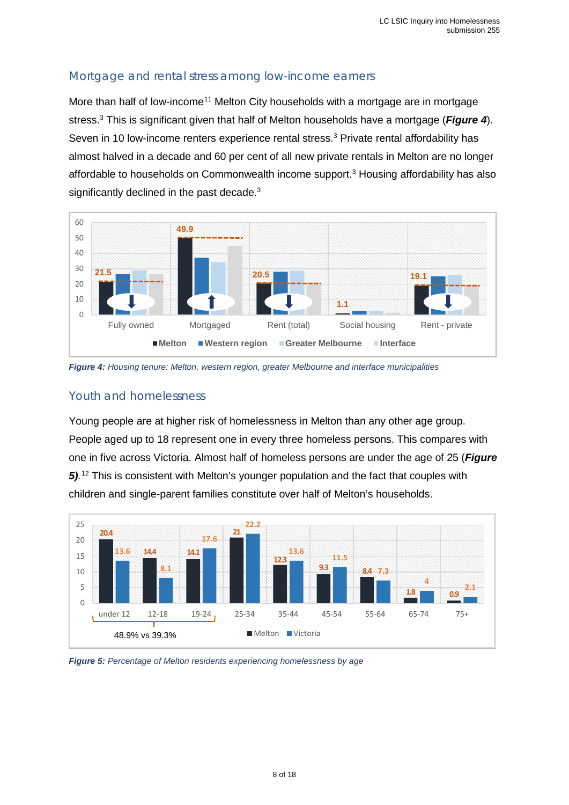#### <span id="page-7-0"></span>Mortgage and rental stress among low-income earners

More than half of low-income<sup>[11](#page-17-10)</sup> Melton City households with a mortgage are in mortgage stress[.3](#page-5-3) This is significant given that half of Melton households have a mortgage (*Figure 4*). Seven in 10 low-income renters experience rental stress.<sup>3</sup> Private rental affordability has almost halved in a decade and 60 per cent of all new private rentals in Melton are no longer affordable to households on Commonwealth income support[.3](#page-5-3) Housing affordability has also significantly declined in the past decade. $3$ 



*Figure 4: Housing tenure: Melton, western region, greater Melbourne and interface municipalities*

#### <span id="page-7-1"></span>Youth and homelessness

Young people are at higher risk of homelessness in Melton than any other age group. People aged up to 18 represent one in every three homeless persons. This compares with one in five across Victoria. Almost half of homeless persons are under the age of 25 (*Figure 5).* [12](#page-17-11) This is consistent with Melton's younger population and the fact that couples with children and single-parent families constitute over half of Melton's households.



*Figure 5: Percentage of Melton residents experiencing homelessness by age*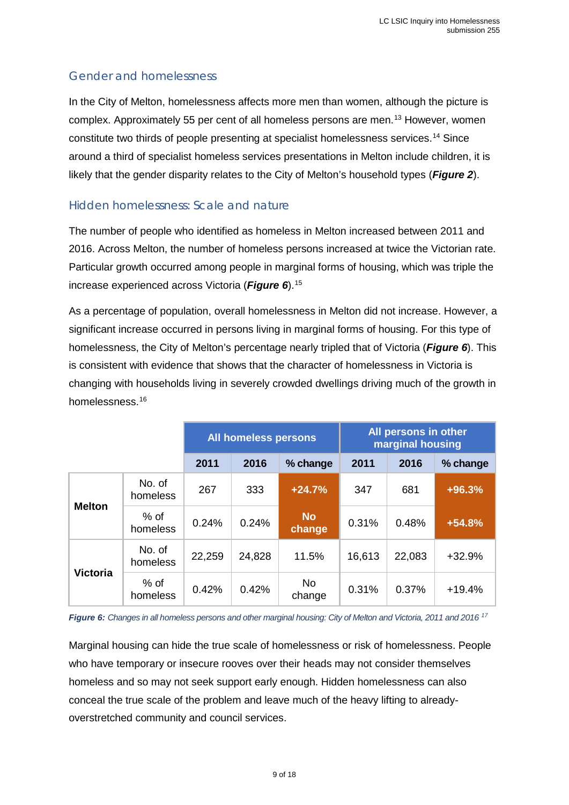#### <span id="page-8-0"></span>Gender and homelessness

In the City of Melton, homelessness affects more men than women, although the picture is complex. Approximately 55 per cent of all homeless persons are men.[13](#page-17-12) However, women constitute two thirds of people presenting at specialist homelessness services.[14](#page-17-13) Since around a third of specialist homeless services presentations in Melton include children, it is likely that the gender disparity relates to the City of Melton's household types (*Figure 2*).

#### <span id="page-8-1"></span>Hidden homelessness: Scale and nature

The number of people who identified as homeless in Melton increased between 2011 and 2016. Across Melton, the number of homeless persons increased at twice the Victorian rate. Particular growth occurred among people in marginal forms of housing, which was triple the increase experienced across Victoria (*Figure 6*).[15](#page-17-14)

As a percentage of population, overall homelessness in Melton did not increase. However, a significant increase occurred in persons living in marginal forms of housing. For this type of homelessness, the City of Melton's percentage nearly tripled that of Victoria (*Figure 6*). This is consistent with evidence that shows that the character of homelessness in Victoria is changing with households living in severely crowded dwellings driving much of the growth in homelessness.[16](#page-17-15)

|                 |                    | All homeless persons |        |                     | All persons in other<br>marginal housing |        |          |
|-----------------|--------------------|----------------------|--------|---------------------|------------------------------------------|--------|----------|
|                 |                    | 2011                 | 2016   | % change            | 2011                                     | 2016   | % change |
|                 | No. of<br>homeless | 267                  | 333    | $+24.7%$            | 347                                      | 681    | $+96.3%$ |
| <b>Melton</b>   | % of<br>homeless   | 0.24%                | 0.24%  | <b>No</b><br>change | 0.31%                                    | 0.48%  | $+54.8%$ |
| <b>Victoria</b> | No. of<br>homeless | 22,259               | 24,828 | 11.5%               | 16,613                                   | 22,083 | $+32.9%$ |
|                 | $%$ of<br>homeless | 0.42%                | 0.42%  | No.<br>change       | 0.31%                                    | 0.37%  | $+19.4%$ |

*Figure 6: Changes in all homeless persons and other marginal housing: City of Melton and Victoria, 2011 and 2016 [17](#page-17-16)*

Marginal housing can hide the true scale of homelessness or risk of homelessness. People who have temporary or insecure rooves over their heads may not consider themselves homeless and so may not seek support early enough. Hidden homelessness can also conceal the true scale of the problem and leave much of the heavy lifting to alreadyoverstretched community and council services.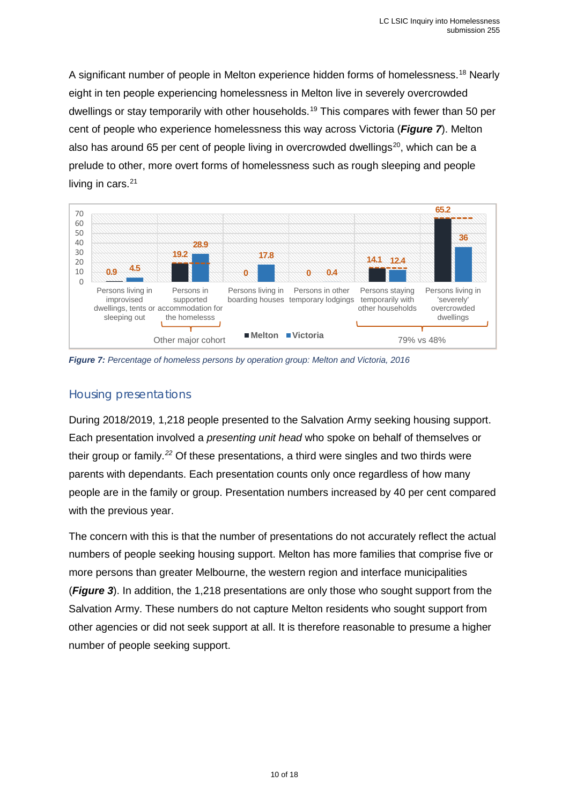A significant number of people in Melton experience hidden forms of homelessness.<sup>[18](#page-17-17)</sup> Nearly eight in ten people experiencing homelessness in Melton live in severely overcrowded dwellings or stay temporarily with other households.<sup>[19](#page-17-18)</sup> This compares with fewer than 50 per cent of people who experience homelessness this way across Victoria (*Figure 7*). Melton also has around 65 per cent of people living in overcrowded dwellings<sup>[20](#page-17-19)</sup>, which can be a prelude to other, more overt forms of homelessness such as rough sleeping and people living in cars. $21$ 



*Figure 7: Percentage of homeless persons by operation group: Melton and Victoria, 2016*

#### <span id="page-9-0"></span>Housing presentations

During 2018/2019, 1,218 people presented to the Salvation Army seeking housing support. Each presentation involved a *presenting unit head* who spoke on behalf of themselves or their group or family.*[22](#page-17-21)* Of these presentations, a third were singles and two thirds were parents with dependants. Each presentation counts only once regardless of how many people are in the family or group. Presentation numbers increased by 40 per cent compared with the previous year.

The concern with this is that the number of presentations do not accurately reflect the actual numbers of people seeking housing support. Melton has more families that comprise five or more persons than greater Melbourne, the western region and interface municipalities (*Figure 3*). In addition, the 1,218 presentations are only those who sought support from the Salvation Army. These numbers do not capture Melton residents who sought support from other agencies or did not seek support at all. It is therefore reasonable to presume a higher number of people seeking support.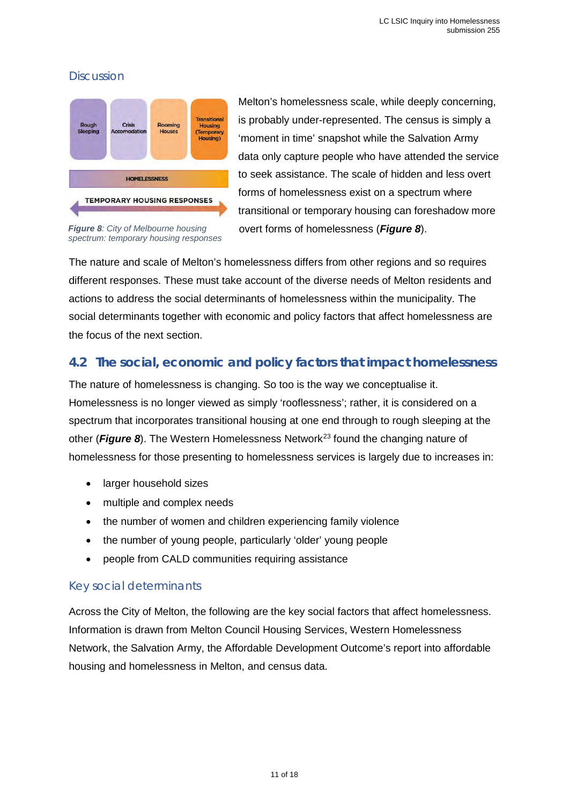## <span id="page-10-0"></span>**Discussion**



Melton's homelessness scale, while deeply concerning, is probably under-represented. The census is simply a 'moment in time' snapshot while the Salvation Army data only capture people who have attended the service to seek assistance. The scale of hidden and less overt forms of homelessness exist on a spectrum where transitional or temporary housing can foreshadow more overt forms of homelessness (*Figure 8*).

*Figure 8: City of Melbourne housing spectrum: temporary housing responses*

The nature and scale of Melton's homelessness differs from other regions and so requires different responses. These must take account of the diverse needs of Melton residents and  actions to address the social determinants of homelessness within the municipality. The  social determinants together with economic and policy factors that affect homelessness are the focus of the next section. 

## <span id="page-10-1"></span>**4.2 The social, economic and policy factors that impact homelessness**

The nature of homelessness is changing. So too is the way we conceptualise it. Homelessness is no longer viewed as simply 'rooflessness'; rather, it is considered on a spectrum that incorporates transitional housing at one end through to rough sleeping at the other (**Figure 8**). The Western Homelessness Network<sup>[23](#page-17-22)</sup> found the changing nature of homelessness for those presenting to homelessness services is largely due to increases in: 

- larger household sizes
- multiple and complex needs
- the number of women and children experiencing family violence
- the number of young people, particularly 'older' young people
- people from CALD communities requiring assistance

#### <span id="page-10-2"></span>Key social determinants

Across the City of Melton, the following are the key social factors that affect homelessness. Information is drawn from Melton Council Housing Services, Western Homelessness Network, the Salvation Army, the Affordable Development Outcome's report into affordable housing and homelessness in Melton, and census data.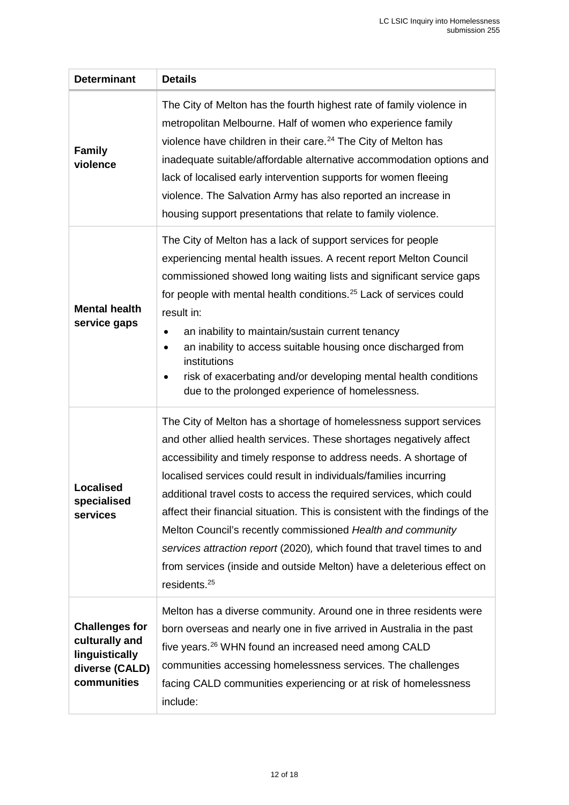<span id="page-11-0"></span>

| <b>Determinant</b>                                                                         | <b>Details</b>                                                                                                                                                                                                                                                                                                                                                                                                                                                                                                                                                                                                                                                                      |  |  |  |  |  |
|--------------------------------------------------------------------------------------------|-------------------------------------------------------------------------------------------------------------------------------------------------------------------------------------------------------------------------------------------------------------------------------------------------------------------------------------------------------------------------------------------------------------------------------------------------------------------------------------------------------------------------------------------------------------------------------------------------------------------------------------------------------------------------------------|--|--|--|--|--|
| <b>Family</b><br>violence                                                                  | The City of Melton has the fourth highest rate of family violence in<br>metropolitan Melbourne. Half of women who experience family<br>violence have children in their care. <sup>24</sup> The City of Melton has<br>inadequate suitable/affordable alternative accommodation options and<br>lack of localised early intervention supports for women fleeing<br>violence. The Salvation Army has also reported an increase in<br>housing support presentations that relate to family violence.                                                                                                                                                                                      |  |  |  |  |  |
| <b>Mental health</b><br>service gaps                                                       | The City of Melton has a lack of support services for people<br>experiencing mental health issues. A recent report Melton Council<br>commissioned showed long waiting lists and significant service gaps<br>for people with mental health conditions. <sup>25</sup> Lack of services could<br>result in:<br>an inability to maintain/sustain current tenancy<br>٠<br>an inability to access suitable housing once discharged from<br>٠<br>institutions<br>risk of exacerbating and/or developing mental health conditions<br>$\bullet$<br>due to the prolonged experience of homelessness.                                                                                          |  |  |  |  |  |
| Localised<br>specialised<br>services                                                       | The City of Melton has a shortage of homelessness support services<br>and other allied health services. These shortages negatively affect<br>accessibility and timely response to address needs. A shortage of<br>localised services could result in individuals/families incurring<br>additional travel costs to access the required services, which could<br>affect their financial situation. This is consistent with the findings of the<br>Melton Council's recently commissioned Health and community<br>services attraction report (2020), which found that travel times to and<br>from services (inside and outside Melton) have a deleterious effect on<br>residents. $25$ |  |  |  |  |  |
| <b>Challenges for</b><br>culturally and<br>linguistically<br>diverse (CALD)<br>communities | Melton has a diverse community. Around one in three residents were<br>born overseas and nearly one in five arrived in Australia in the past<br>five years. <sup>26</sup> WHN found an increased need among CALD<br>communities accessing homelessness services. The challenges<br>facing CALD communities experiencing or at risk of homelessness<br>include:                                                                                                                                                                                                                                                                                                                       |  |  |  |  |  |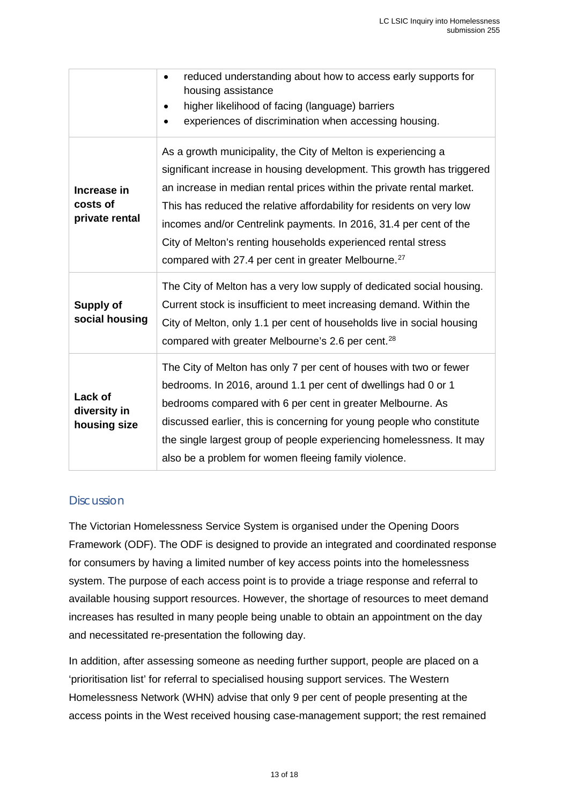|                                           | reduced understanding about how to access early supports for<br>$\bullet$<br>housing assistance<br>higher likelihood of facing (language) barriers<br>experiences of discrimination when accessing housing.                                                                                                                                                                                                                                                                                         |
|-------------------------------------------|-----------------------------------------------------------------------------------------------------------------------------------------------------------------------------------------------------------------------------------------------------------------------------------------------------------------------------------------------------------------------------------------------------------------------------------------------------------------------------------------------------|
| Increase in<br>costs of<br>private rental | As a growth municipality, the City of Melton is experiencing a<br>significant increase in housing development. This growth has triggered<br>an increase in median rental prices within the private rental market.<br>This has reduced the relative affordability for residents on very low<br>incomes and/or Centrelink payments. In 2016, 31.4 per cent of the<br>City of Melton's renting households experienced rental stress<br>compared with 27.4 per cent in greater Melbourne. <sup>27</sup> |
| Supply of<br>social housing               | The City of Melton has a very low supply of dedicated social housing.<br>Current stock is insufficient to meet increasing demand. Within the<br>City of Melton, only 1.1 per cent of households live in social housing<br>compared with greater Melbourne's 2.6 per cent. <sup>28</sup>                                                                                                                                                                                                             |
| Lack of<br>diversity in<br>housing size   | The City of Melton has only 7 per cent of houses with two or fewer<br>bedrooms. In 2016, around 1.1 per cent of dwellings had 0 or 1<br>bedrooms compared with 6 per cent in greater Melbourne. As<br>discussed earlier, this is concerning for young people who constitute<br>the single largest group of people experiencing homelessness. It may<br>also be a problem for women fleeing family violence.                                                                                         |

#### <span id="page-12-0"></span>**Discussion**

The Victorian Homelessness Service System is organised under the Opening Doors Framework (ODF). The ODF is designed to provide an integrated and coordinated response for consumers by having a limited number of key access points into the homelessness system. The purpose of each access point is to provide a triage response and referral to available housing support resources. However, the shortage of resources to meet demand increases has resulted in many people being unable to obtain an appointment on the day and necessitated re-presentation the following day.

In addition, after assessing someone as needing further support, people are placed on a 'prioritisation list' for referral to specialised housing support services. The Western Homelessness Network (WHN) advise that only 9 per cent of people presenting at the access points in the West received housing case-management support; the rest remained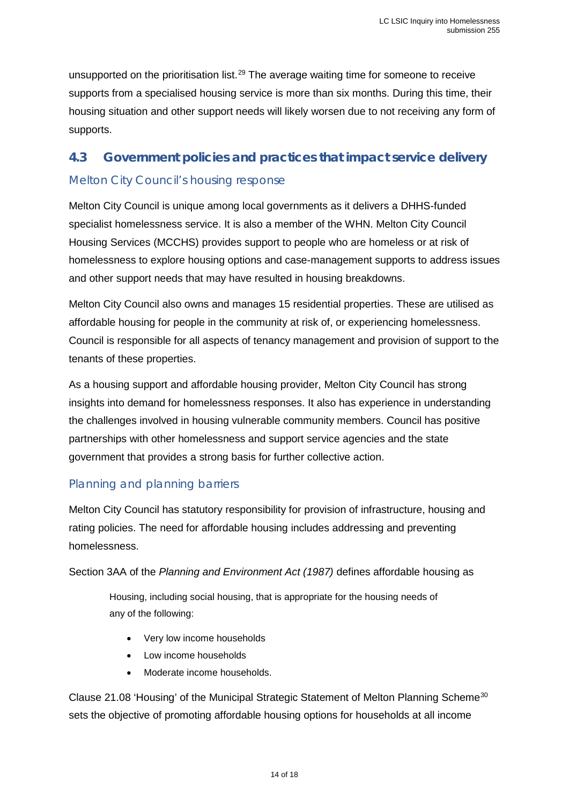unsupported on the prioritisation list.<sup>[29](#page-17-28)</sup> The average waiting time for someone to receive supports from a specialised housing service is more than six months. During this time, their housing situation and other support needs will likely worsen due to not receiving any form of supports.

# <span id="page-13-1"></span><span id="page-13-0"></span>**4.3 Government policies and practices that impact service delivery** Melton City Council's housing response

Melton City Council is unique among local governments as it delivers a DHHS-funded specialist homelessness service. It is also a member of the WHN. Melton City Council Housing Services (MCCHS) provides support to people who are homeless or at risk of homelessness to explore housing options and case-management supports to address issues and other support needs that may have resulted in housing breakdowns.

Melton City Council also owns and manages 15 residential properties. These are utilised as affordable housing for people in the community at risk of, or experiencing homelessness. Council is responsible for all aspects of tenancy management and provision of support to the tenants of these properties.

As a housing support and affordable housing provider, Melton City Council has strong insights into demand for homelessness responses. It also has experience in understanding the challenges involved in housing vulnerable community members. Council has positive partnerships with other homelessness and support service agencies and the state government that provides a strong basis for further collective action.

#### <span id="page-13-2"></span>Planning and planning barriers

Melton City Council has statutory responsibility for provision of infrastructure, housing and rating policies. The need for affordable housing includes addressing and preventing homelessness.

Section 3AA of the *Planning and Environment Act (1987)* defines affordable housing as

Housing, including social housing, that is appropriate for the housing needs of any of the following:

- Very low income households
- Low income households
- Moderate income households.

Clause 21.08 'Housing' of the Municipal Strategic Statement of Melton Planning Scheme<sup>[30](#page-17-29)</sup> sets the objective of promoting affordable housing options for households at all income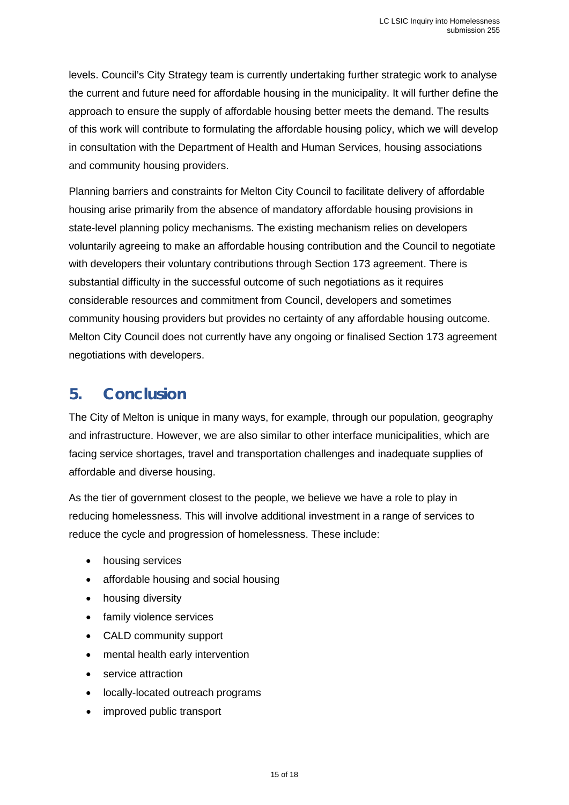levels. Council's City Strategy team is currently undertaking further strategic work to analyse the current and future need for affordable housing in the municipality. It will further define the approach to ensure the supply of affordable housing better meets the demand. The results of this work will contribute to formulating the affordable housing policy, which we will develop in consultation with the Department of Health and Human Services, housing associations and community housing providers.

Planning barriers and constraints for Melton City Council to facilitate delivery of affordable housing arise primarily from the absence of mandatory affordable housing provisions in state-level planning policy mechanisms. The existing mechanism relies on developers voluntarily agreeing to make an affordable housing contribution and the Council to negotiate with developers their voluntary contributions through Section 173 agreement. There is substantial difficulty in the successful outcome of such negotiations as it requires considerable resources and commitment from Council, developers and sometimes community housing providers but provides no certainty of any affordable housing outcome. Melton City Council does not currently have any ongoing or finalised Section 173 agreement negotiations with developers.

# <span id="page-14-0"></span>**5. Conclusion**

The City of Melton is unique in many ways, for example, through our population, geography and infrastructure. However, we are also similar to other interface municipalities, which are facing service shortages, travel and transportation challenges and inadequate supplies of affordable and diverse housing.

As the tier of government closest to the people, we believe we have a role to play in reducing homelessness. This will involve additional investment in a range of services to reduce the cycle and progression of homelessness. These include:

- housing services
- affordable housing and social housing
- housing diversity
- family violence services
- CALD community support
- mental health early intervention
- service attraction
- locally-located outreach programs
- improved public transport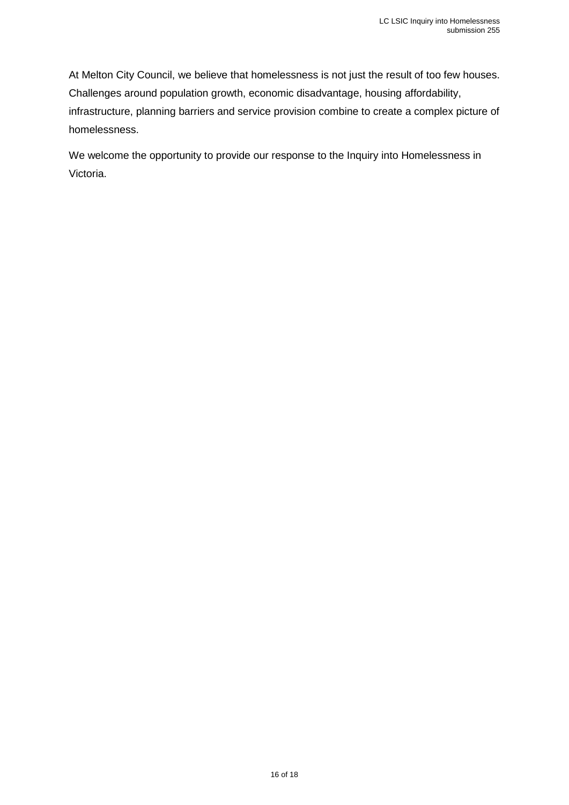At Melton City Council, we believe that homelessness is not just the result of too few houses. Challenges around population growth, economic disadvantage, housing affordability, infrastructure, planning barriers and service provision combine to create a complex picture of homelessness.

We welcome the opportunity to provide our response to the Inquiry into Homelessness in Victoria.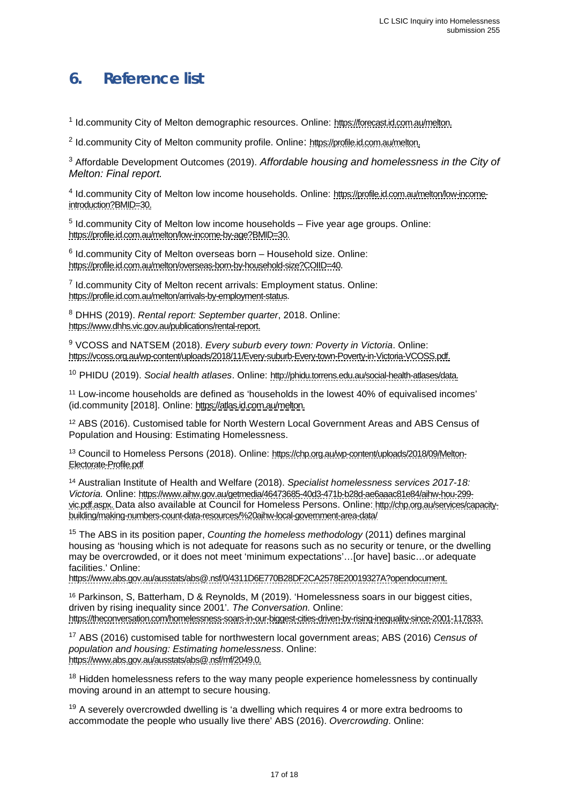# <span id="page-16-0"></span>**6. Reference list**

<sup>1</sup> Id.community City of Melton demographic resources. Online: [https://forecast.id.com.au/melton.](https://forecast.id.com.au/melton) 

<sup>2</sup> Id.community City of Melton community profile. Online: [https://profile.id.com.au/melton.](https://profile.id.com.au/melton)

<sup>3</sup> Affordable Development Outcomes (2019). *Affordable housing and homelessness in the City of Melton: Final report.*

<sup>4</sup> Id.community City of Melton low income households. Online: [https://profile.id.com.au/melton/low-income](https://profile.id.com.au/melton/low-income-introduction?BMID=30)[introduction?BMID=30.](https://profile.id.com.au/melton/low-income-introduction?BMID=30) 

<sup>5</sup> Id.community City of Melton low income households – Five year age groups. Online: [https://profile.id.com.au/melton/low-income-by-age?BMID=30.](https://profile.id.com.au/melton/low-income-by-age?BMID=30) 

 $6$  Id.community City of Melton overseas born – Household size. Online: [https://profile.id.com.au/melton/overseas-born-by-household-size?COIID=40.](https://profile.id.com.au/melton/overseas-born-by-household-size?COIID=40) 

<sup>7</sup> Id.community City of Melton recent arrivals: Employment status. Online: [https://profile.id.com.au/melton/arrivals-by-employment-status.](https://profile.id.com.au/melton/arrivals-by-employment-status)

<sup>8</sup> DHHS (2019). *Rental report: September quarter*, 2018. Online: [https://www.dhhs.vic.gov.au/publications/rental-report.](https://www.dhhs.vic.gov.au/publications/rental-report)

<sup>9</sup> VCOSS and NATSEM (2018). *Every suburb every town: Poverty in Victoria*. Online: [https://vcoss.org.au/wp-content/uploads/2018/11/Every-suburb-Every-town-Poverty-in-Victoria-VCOSS.pdf.](https://vcoss.org.au/wp-content/uploads/2018/11/Every-suburb-Every-town-Poverty-in-Victoria-VCOSS.pdf)

<sup>10</sup> PHIDU (2019). *Social health atlases*. Online: [http://phidu.torrens.edu.au/social-health-atlases/data.](http://phidu.torrens.edu.au/social-health-atlases/data)

<sup>11</sup> Low-income households are defined as 'households in the lowest 40% of equivalised incomes' (id.community [2018]. Online: [https://atlas.id.com.au/melton.](https://atlas.id.com.au/melton)

<sup>12</sup> ABS (2016). Customised table for North Western Local Government Areas and ABS Census of Population and Housing: Estimating Homelessness.

13 Council to Homeless Persons (2018). Online: [https://chp.org.au/wp-content/uploads/2018/09/Melton-](https://chp.org.au/wp-content/uploads/2018/09/Melton-Electorate-Profile.pdf)[Electorate-Profile.pdf](https://chp.org.au/wp-content/uploads/2018/09/Melton-Electorate-Profile.pdf) 

<sup>14</sup> Australian Institute of Health and Welfare (2018). *Specialist homelessness services 2017-18: Victoria.* Online: [https://www.aihw.gov.au/getmedia/46473685-40d3-471b-b28d-ae6aaac81e84/aihw-hou-299](https://www.aihw.gov.au/getmedia/46473685-40d3-471b-b28d-ae6aaac81e84/aihw-hou-299-vic.pdf.aspx) [vic.pdf.aspx.](https://www.aihw.gov.au/getmedia/46473685-40d3-471b-b28d-ae6aaac81e84/aihw-hou-299-vic.pdf.aspx) Data also available at Council for Homeless Persons. Online: [http://chp.org.au/services/capacity](http://chp.org.au/services/capacity-building/making-numbers-count-data-resources/%20aihw-local-government-area-data/)[building/making-numbers-count-data-resources/%20aihw-local-government-area-data/](http://chp.org.au/services/capacity-building/making-numbers-count-data-resources/%20aihw-local-government-area-data/)

<sup>15</sup> The ABS in its position paper, *Counting the homeless methodology* (2011) defines marginal housing as 'housing which is not adequate for reasons such as no security or tenure, or the dwelling may be overcrowded, or it does not meet 'minimum expectations'…[or have] basic…or adequate facilities.' Online:

[https://www.abs.gov.au/ausstats/abs@.nsf/0/4311D6E770B28DF2CA2578E20019327A?opendocument.](https://www.abs.gov.au/ausstats/abs@.nsf/0/4311D6E770B28DF2CA2578E20019327A?opendocument)

<sup>16</sup> Parkinson, S, Batterham, D & Reynolds, M (2019). 'Homelessness soars in our biggest cities, driven by rising inequality since 2001'*. The Conversation.* Online: [https://theconversation.com/homelessness-soars-in-our-biggest-cities-driven-by-rising-inequality-since-2001-117833.](https://theconversation.com/homelessness-soars-in-our-biggest-cities-driven-by-rising-inequality-since-2001-117833)

<sup>17</sup> ABS (2016) customised table for northwestern local government areas; ABS (2016) *Census of population and housing: Estimating homelessness*. Online: [https://www.abs.gov.au/ausstats/abs@.nsf/mf/2049.0.](https://www.abs.gov.au/ausstats/abs@.nsf/mf/2049.0)

<sup>18</sup> Hidden homelessness refers to the way many people experience homelessness by continually moving around in an attempt to secure housing.

 $19$  A severely overcrowded dwelling is 'a dwelling which requires 4 or more extra bedrooms to accommodate the people who usually live there' ABS (2016). *Overcrowding*. Online: